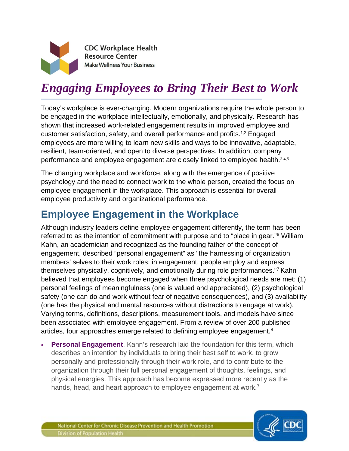

**CDC Workplace Health Resource Center Make Wellness Your Business** 

# *Engaging Employees to Bring Their Best to Work*

Today's workplace is ever-changing. Modern organizations require the whole person to be engaged in the workplace intellectually, emotionally, and physically. Research has shown that increased work-related engagement results in improved employee and customer satisfaction, safety, and overall performance and profits.1,2 Engaged employees are more willing to learn new skills and ways to be innovative, adaptable, resilient, team-oriented, and open to diverse perspectives. In addition, company performance and employee engagement are closely linked to employee health.3,4,5

The changing workplace and workforce, along with the emergence of positive psychology and the need to connect work to the whole person, created the focus on employee engagement in the workplace. This approach is essential for overall employee productivity and organizational performance.

# **Employee Engagement in the Workplace**

Although industry leaders define employee engagement differently, the term has been referred to as the intention of commitment with purpose and to "place in gear."6 William Kahn, an academician and recognized as the founding father of the concept of engagement, described "personal engagement" as "the harnessing of organization members' selves to their work roles; in engagement, people employ and express themselves physically, cognitively, and emotionally during role performances."7 Kahn believed that employees become engaged when three psychological needs are met: (1) personal feelings of meaningfulness (one is valued and appreciated), (2) psychological safety (one can do and work without fear of negative consequences), and (3) availability (one has the physical and mental resources without distractions to engage at work). Varying terms, definitions, descriptions, measurement tools, and models have since been associated with employee engagement. From a review of over 200 published articles, four approaches emerge related to defining employee engagement.<sup>8</sup>

**Personal Engagement**. Kahn's research laid the foundation for this term, which describes an intention by individuals to bring their best self to work, to grow personally and professionally through their work role, and to contribute to the organization through their full personal engagement of thoughts, feelings, and physical energies. This approach has become expressed more recently as the hands, head, and heart approach to employee engagement at work.<sup>7</sup>

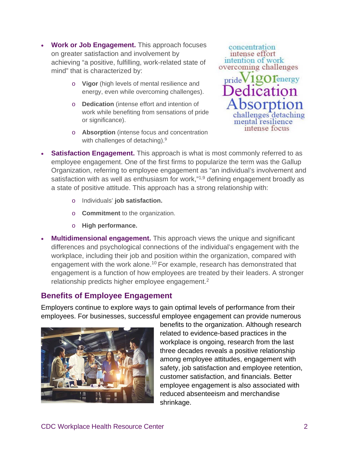- **Work or Job Engagement.** This approach focuses on greater satisfaction and involvement by achieving "a positive, fulfilling, work-related state of mind" that is characterized by:
	- o **Vigor** (high levels of mental resilience and energy, even while overcoming challenges).
	- o **Dedication** (intense effort and intention of work while benefiting from sensations of pride or significance).
	- o **Absorption** (intense focus and concentration with challenges of detaching).<sup>9</sup>

concentration intense effort intention of work overcoming challenges Tenergy pride lenges detaching mental resilience intense focus

- **Satisfaction Engagement.** This approach is what is most commonly referred to as employee engagement. One of the first firms to popularize the term was the Gallup Organization, referring to employee engagement as "an individual's involvement and satisfaction with as well as enthusiasm for work,"<sup>1,9</sup> defining engagement broadly as a state of positive attitude. This approach has a strong relationship with:
	- o Individuals' **job satisfaction.**
	- o **Commitment** to the organization.
	- o **High performance.**
- **Multidimensional engagement.** This approach views the unique and significant differences and psychological connections of the individual's engagement with the workplace, including their job and position within the organization, compared with engagement with the work alone.<sup>10</sup> For example, research has demonstrated that engagement is a function of how employees are treated by their leaders. A stronger relationship predicts higher employee engagement.<sup>2</sup>

### **Benefits of Employee Engagement**

Employers continue to explore ways to gain optimal levels of performance from their employees. For businesses, successful employee engagement can provide numerous



benefits to the organization. Although research related to evidence-based practices in the workplace is ongoing, research from the last three decades reveals a positive relationship among employee attitudes, engagement with safety, job satisfaction and employee retention, customer satisfaction, and financials. Better employee engagement is also associated with reduced absenteeism and merchandise shrinkage.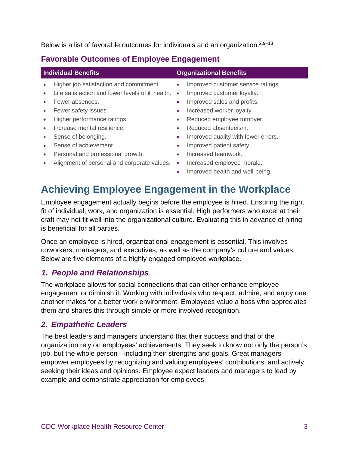Below is a list of favorable outcomes for individuals and an organization.<sup>2,9–13</sup>

### **Favorable Outcomes of Employee Engagement**

| <b>Individual Benefits</b> |                                                   | <b>Organizational Benefits</b> |                                     |
|----------------------------|---------------------------------------------------|--------------------------------|-------------------------------------|
|                            | Higher job satisfaction and commitment.           | $\bullet$                      | Improved customer service ratings.  |
|                            | Life satisfaction and lower levels of ill health. | $\bullet$                      | Improved customer loyalty.          |
|                            | Fewer absences.                                   | ۰                              | Improved sales and profits.         |
|                            | Fewer safety issues.                              | ۰                              | Increased worker loyalty.           |
|                            | Higher performance ratings.                       | ۰                              | Reduced employee turnover.          |
|                            | Increase mental resilience.                       | ۰                              | Reduced absenteeism.                |
|                            | Sense of belonging.                               | ۰                              | Improved quality with fewer errors. |
|                            | Sense of achievement.                             | ۰                              | Improved patient safety.            |
| $\bullet$                  | Personal and professional growth.                 | ٠                              | Increased teamwork.                 |
|                            | Alignment of personal and corporate values.       | $\bullet$                      | Increased employee morale.          |
|                            |                                                   |                                | Improved health and well-being.     |

# **Achieving Employee Engagement in the Workplace**

Employee engagement actually begins before the employee is hired. Ensuring the right fit of individual, work, and organization is essential. High performers who excel at their craft may not fit well into the organizational culture. Evaluating this in advance of hiring is beneficial for all parties.

Once an employee is hired, organizational engagement is essential. This involves coworkers, managers, and executives, as well as the company's culture and values. Below are five elements of a highly engaged employee workplace.

#### *1. People and Relationships*

The workplace allows for social connections that can either enhance employee engagement or diminish it. Working with individuals who respect, admire, and enjoy one another makes for a better work environment. Employees value a boss who appreciates them and shares this through simple or more involved recognition.

#### *2. Empathetic Leaders*

The best leaders and managers understand that their success and that of the organization rely on employees' achievements. They seek to know not only the person's job, but the whole person—including their strengths and goals. Great managers empower employees by recognizing and valuing employees' contributions, and actively seeking their ideas and opinions. Employee expect leaders and managers to lead by example and demonstrate appreciation for employees.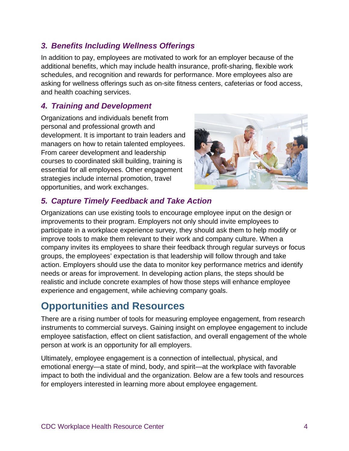#### *3. Benefits Including Wellness Offerings*

In addition to pay, employees are motivated to work for an employer because of the additional benefits, which may include health insurance, profit-sharing, flexible work schedules, and recognition and rewards for performance. More employees also are asking for wellness offerings such as on-site fitness centers, cafeterias or food access, and health coaching services.

#### *4. Training and Development*

Organizations and individuals benefit from personal and professional growth and development. It is important to train leaders and managers on how to retain talented employees. From career development and leadership courses to coordinated skill building, training is essential for all employees. Other engagement strategies include internal promotion, travel opportunities, and work exchanges.



### *5. Capture Timely Feedback and Take Action*

Organizations can use existing tools to encourage employee input on the design or improvements to their program. Employers not only should invite employees to participate in a workplace experience survey, they should ask them to help modify or improve tools to make them relevant to their work and company culture. When a company invites its employees to share their feedback through regular surveys or focus groups, the employees' expectation is that leadership will follow through and take action. Employers should use the data to monitor key performance metrics and identify needs or areas for improvement. In developing action plans, the steps should be realistic and include concrete examples of how those steps will enhance employee experience and engagement, while achieving company goals.

## **Opportunities and Resources**

There are a rising number of tools for measuring employee engagement, from research instruments to commercial surveys. Gaining insight on employee engagement to include employee satisfaction, effect on client satisfaction, and overall engagement of the whole person at work is an opportunity for all employers.

Ultimately, employee engagement is a connection of intellectual, physical, and emotional energy—a state of mind, body, and spirit—at the workplace with favorable impact to both the individual and the organization. Below are a few tools and resources for employers interested in learning more about employee engagement.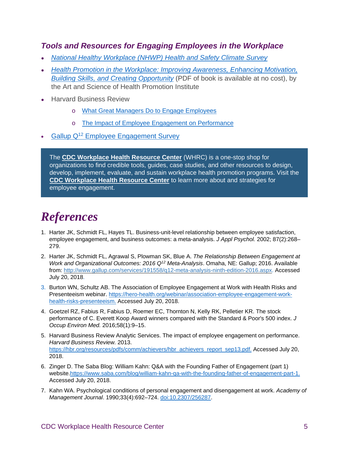#### *Tools and Resources for Engaging Employees in the Workplace*

- *National Healthy [Workplace](https://www.cdc.gov/workplacehealthpromotion/tools-resources/pdfs/NHWP_INPUTS_Manual.pdf) (NHWP) Health and Safety Climate Survey*
- *Health Promotion in the Workplace: Improving [Awareness,](https://nccd.cdc.gov/WHRC/?searchTerm=Health%20Promotion%20in%20the%20Workplace:%20Improving%20Awareness,%20Enhancing%20Motivation,%20Building%20Skills%20and%20Creating%20Opportunity) Enhancing Motivation, Building Skills, and Creating [Opportunity](https://nccd.cdc.gov/WHRC/?searchTerm=Health%20Promotion%20in%20the%20Workplace:%20Improving%20Awareness,%20Enhancing%20Motivation,%20Building%20Skills%20and%20Creating%20Opportunity)* (PDF of book is available at no cost), by the Art and Science of Health Promotion Institute
- **Harvard Business Review** 
	- o What Great Managers Do to Engage [Employees](https://hbr.org/2015/04/what-great-managers-do-to-engage-employees)
	- o The Impact of Employee Engagement on [Performance](https://hbr.org/resources/pdfs/comm/achievers/hbr_achievers_report_sep13.pdf)
- Gallup Q<sup>12</sup> Employee [Engagement](https://q12.gallup.com/public/en-us/Features) Survey

The **CDC [Workplace](https://nccd.cdc.gov/WHRC/) Health Resource Center** (WHRC) is a one-stop shop for organizations to find credible tools, guides, case studies, and other resources to design, develop, implement, evaluate, and sustain workplace health promotion programs. Visit the **CDC [Workplace](https://nccd.cdc.gov/WHRC/) Health Resource Center** to learn more about and strategies for employee engagement.

# *References*

- 1. Harter JK, Schmidt FL, Hayes TL. Business-unit-level relationship between employee satisfaction, employee engagement, and business outcomes: a meta-analysis. *J Appl Psychol.* 2002; 87(2):268– 279.
- 2. Harter JK, Schmidt FL, Agrawal S, Plowman SK, Blue A. *The Relationship Between Engagement at Work and Organizational Outcomes: 2016 Q12 Meta-Analysis*. Omaha, NE: Gallup; 2016. Available from: [http://www.gallup.com/services/191558/q12-meta-analysis-ninth-edition-2016.aspx.](http://www.gallup.com/services/191558/q12-meta-analysis-ninth-edition-2016.aspx) Accessed July 20, 2018.
- 3. Burton WN, Schultz AB. The Association of Employee Engagement at Work with Health Risks and Presenteeism webinar. [https://hero-health.org/webinar/association-employee-engagement-work](https://hero-health.org/webinar/association-employee-engagement-work-health-risks-presenteeism/)[health-risks-presenteeism.](https://hero-health.org/webinar/association-employee-engagement-work-health-risks-presenteeism/) Accessed July 20, 2018.
- 4. Goetzel RZ, Fabius R, Fabius D, Roemer EC, Thornton N, Kelly RK, Pelletier KR. The stock performance of C. Everett Koop Award winners compared with the Standard & Poor's 500 index. *J Occup Environ Med.* 2016;58(1):9–15.
- 5. Harvard Business Review Analytic Services. The impact of employee engagement on performance. *Harvard Business Review.* 2013. [https://hbr.org/resources/pdfs/comm/achievers/hbr\\_achievers\\_report\\_sep13.pdf.](https://hbr.org/resources/pdfs/comm/achievers/hbr_achievers_report_sep13.pdf) Accessed July 20, 2018.
- 6. Zinger D. The Saba Blog: William Kahn: Q&A with the Founding Father of Engagement (part 1) website[.https://www.saba.com/blog/william-kahn-qa-with-the-founding-father-of-engagement-part-1.](https://www.saba.com/blog/william-kahn-qa-with-the-founding-father-of-engagement-part-1) Accessed July 20, 2018.
- 7. Kahn WA. Psychological conditions of personal engagement and disengagement at work. *Academy of Management Journal*. 1990;33(4):692–724. [doi:10.2307/256287.](https://doi.org/10.5465/256287)